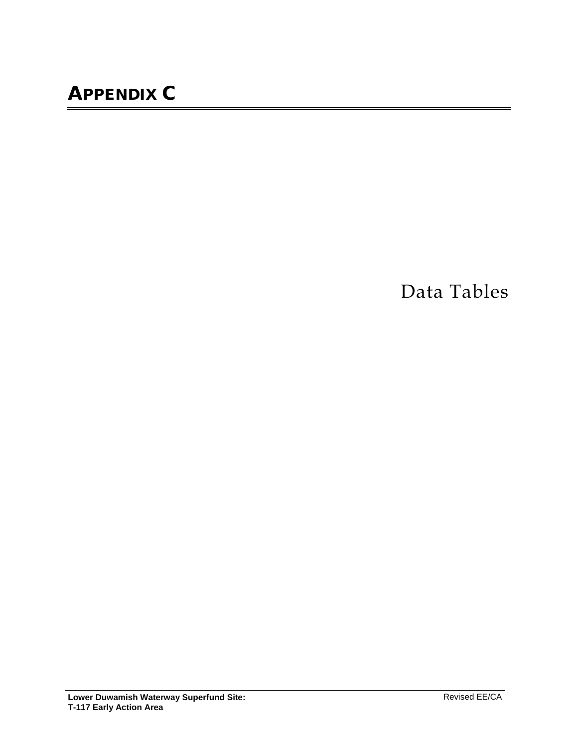Data Tables